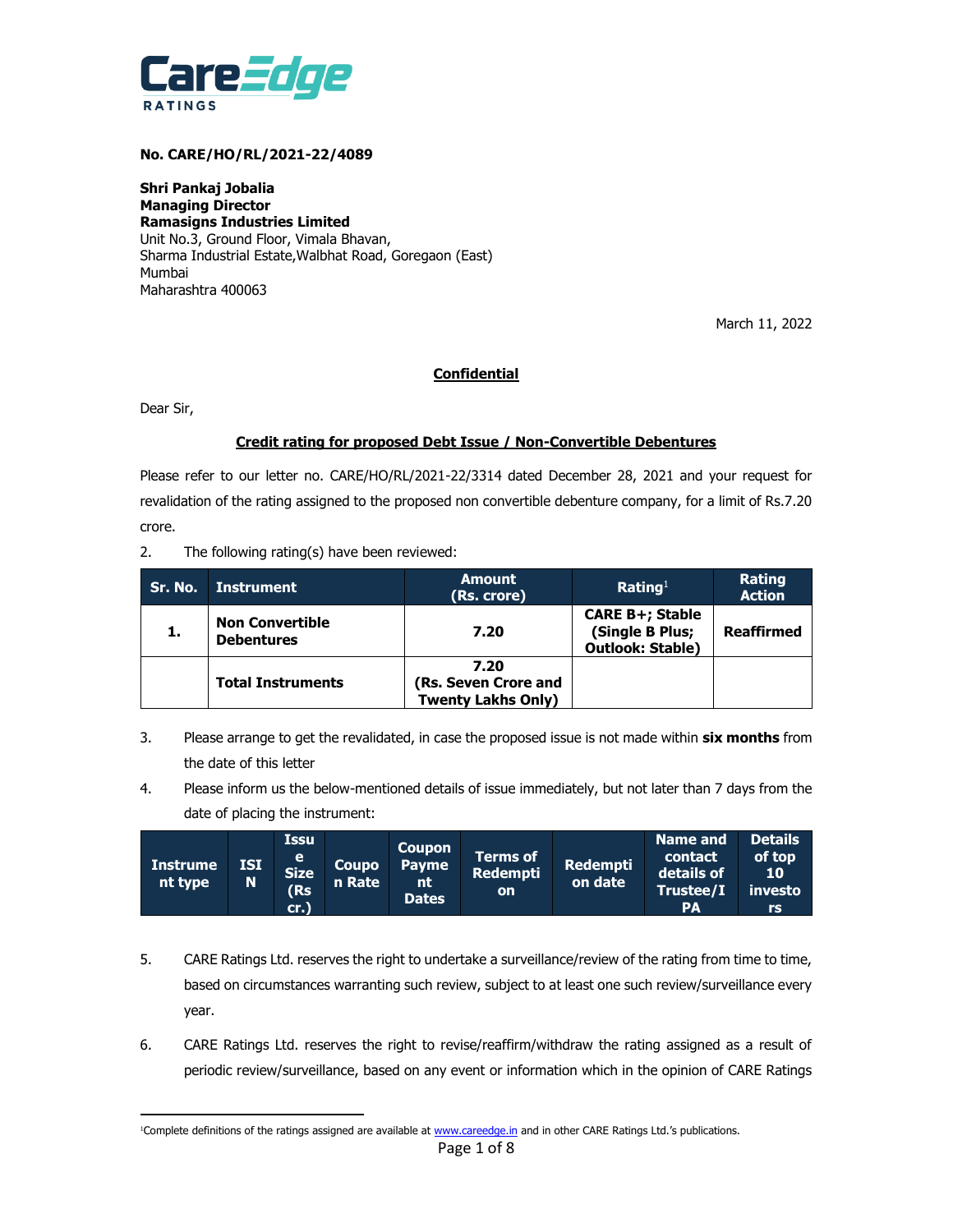

#### **No. CARE/HO/RL/2021-22/4089**

**Shri Pankaj Jobalia Managing Director Ramasigns Industries Limited** Unit No.3, Ground Floor, Vimala Bhavan, Sharma Industrial Estate,Walbhat Road, Goregaon (East) Mumbai Maharashtra 400063

March 11, 2022

# **Confidential**

Dear Sir,

# **Credit rating for proposed Debt Issue / Non-Convertible Debentures**

Please refer to our letter no. CARE/HO/RL/2021-22/3314 dated December 28, 2021 and your request for revalidation of the rating assigned to the proposed non convertible debenture company, for a limit of Rs.7.20 crore.

2. The following rating(s) have been reviewed:

| Sr. No. | Instrument                                  | <b>Amount</b><br>(Rs. crore)                              | Rating <sup>1</sup>                                                  | <b>Rating</b><br><b>Action</b> |
|---------|---------------------------------------------|-----------------------------------------------------------|----------------------------------------------------------------------|--------------------------------|
| 1.      | <b>Non Convertible</b><br><b>Debentures</b> | 7.20                                                      | <b>CARE B+; Stable</b><br>(Single B Plus;<br><b>Outlook: Stable)</b> | <b>Reaffirmed</b>              |
|         | <b>Total Instruments</b>                    | 7.20<br>(Rs. Seven Crore and<br><b>Twenty Lakhs Only)</b> |                                                                      |                                |

- 3. Please arrange to get the revalidated, in case the proposed issue is not made within **six months** from the date of this letter
- 4. Please inform us the below-mentioned details of issue immediately, but not later than 7 days from the date of placing the instrument:

| <b>Instrume</b><br>nt type | <b>ISI</b><br>N | <b>Issu</b><br>e<br><b>Size</b><br>(Rs<br>cr.) | Coupo<br>n Rate | Coupon<br><b>Payme</b><br>nt<br><b>Dates</b> | <b>Terms of</b><br><b>Redempti</b><br><b>on</b> | <b>Redempti</b><br>on date | <b>Name and</b><br>contact<br>details of<br>Trustee/I<br><b>PA</b> | <b>Details</b><br>of top<br>10<br>investo<br>rs |
|----------------------------|-----------------|------------------------------------------------|-----------------|----------------------------------------------|-------------------------------------------------|----------------------------|--------------------------------------------------------------------|-------------------------------------------------|
|----------------------------|-----------------|------------------------------------------------|-----------------|----------------------------------------------|-------------------------------------------------|----------------------------|--------------------------------------------------------------------|-------------------------------------------------|

- 5. CARE Ratings Ltd. reserves the right to undertake a surveillance/review of the rating from time to time, based on circumstances warranting such review, subject to at least one such review/surveillance every year.
- 6. CARE Ratings Ltd. reserves the right to revise/reaffirm/withdraw the rating assigned as a result of periodic review/surveillance, based on any event or information which in the opinion of CARE Ratings

 <sup>1</sup>Complete definitions of the ratings assigned are available at [www.careedge.in](http://www.careedge.in/) and in other CARE Ratings Ltd.'s publications.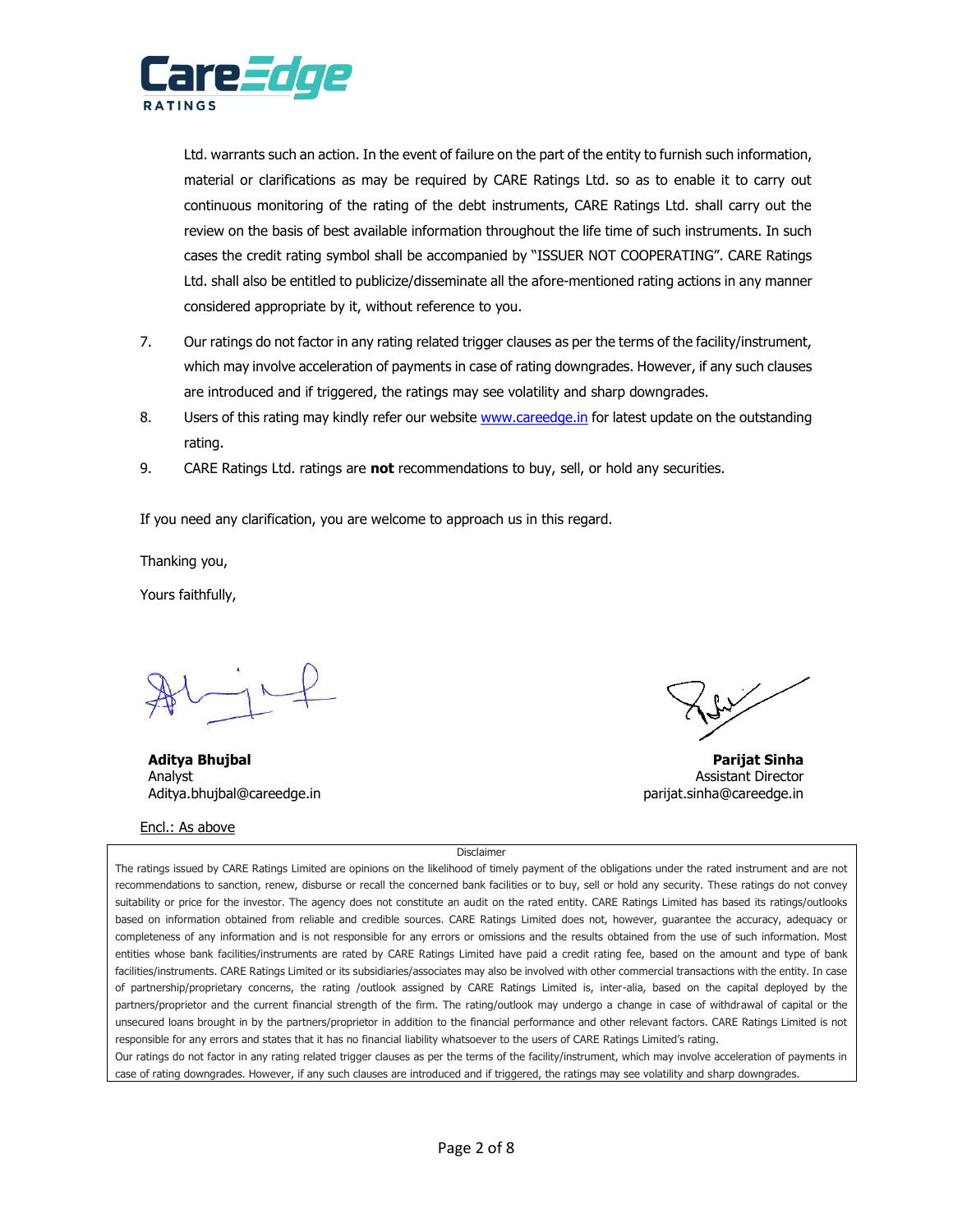

Ltd. warrants such an action. In the event of failure on the part of the entity to furnish such information, material or clarifications as may be required by CARE Ratings Ltd. so as to enable it to carry out continuous monitoring of the rating of the debt instruments, CARE Ratings Ltd. shall carry out the review on the basis of best available information throughout the life time of such instruments. In such cases the credit rating symbol shall be accompanied by "ISSUER NOT COOPERATING". CARE Ratings Ltd. shall also be entitled to publicize/disseminate all the afore-mentioned rating actions in any manner considered appropriate by it, without reference to you.

- 7. Our ratings do not factor in any rating related trigger clauses as per the terms of the facility/instrument, which may involve acceleration of payments in case of rating downgrades. However, if any such clauses are introduced and if triggered, the ratings may see volatility and sharp downgrades.
- 8. Users of this rating may kindly refer our website [www.careedge.in](http://www.careedge.in/) for latest update on the outstanding rating.
- 9. CARE Ratings Ltd. ratings are **not** recommendations to buy, sell, or hold any securities.

If you need any clarification, you are welcome to approach us in this regard.

Thanking you,

Yours faithfully,

**Aditya Bhujbal Parijat Sinha**  Analyst **Analyst** Assistant Director Aditya.bhujbal@careedge.in eta ali eta ali eta ali eta ali eta ali eta ali eta ali eta ali eta ali eta ali eta a

# Encl.: As above

Disclaimer

The ratings issued by CARE Ratings Limited are opinions on the likelihood of timely payment of the obligations under the rated instrument and are not recommendations to sanction, renew, disburse or recall the concerned bank facilities or to buy, sell or hold any security. These ratings do not convey suitability or price for the investor. The agency does not constitute an audit on the rated entity. CARE Ratings Limited has based its ratings/outlooks based on information obtained from reliable and credible sources. CARE Ratings Limited does not, however, guarantee the accuracy, adequacy or completeness of any information and is not responsible for any errors or omissions and the results obtained from the use of such information. Most entities whose bank facilities/instruments are rated by CARE Ratings Limited have paid a credit rating fee, based on the amount and type of bank facilities/instruments. CARE Ratings Limited or its subsidiaries/associates may also be involved with other commercial transactions with the entity. In case of partnership/proprietary concerns, the rating /outlook assigned by CARE Ratings Limited is, inter-alia, based on the capital deployed by the partners/proprietor and the current financial strength of the firm. The rating/outlook may undergo a change in case of withdrawal of capital or the unsecured loans brought in by the partners/proprietor in addition to the financial performance and other relevant factors. CARE Ratings Limited is not responsible for any errors and states that it has no financial liability whatsoever to the users of CARE Ratings Limited's rating.

Our ratings do not factor in any rating related trigger clauses as per the terms of the facility/instrument, which may involve acceleration of payments in case of rating downgrades. However, if any such clauses are introduced and if triggered, the ratings may see volatility and sharp downgrades.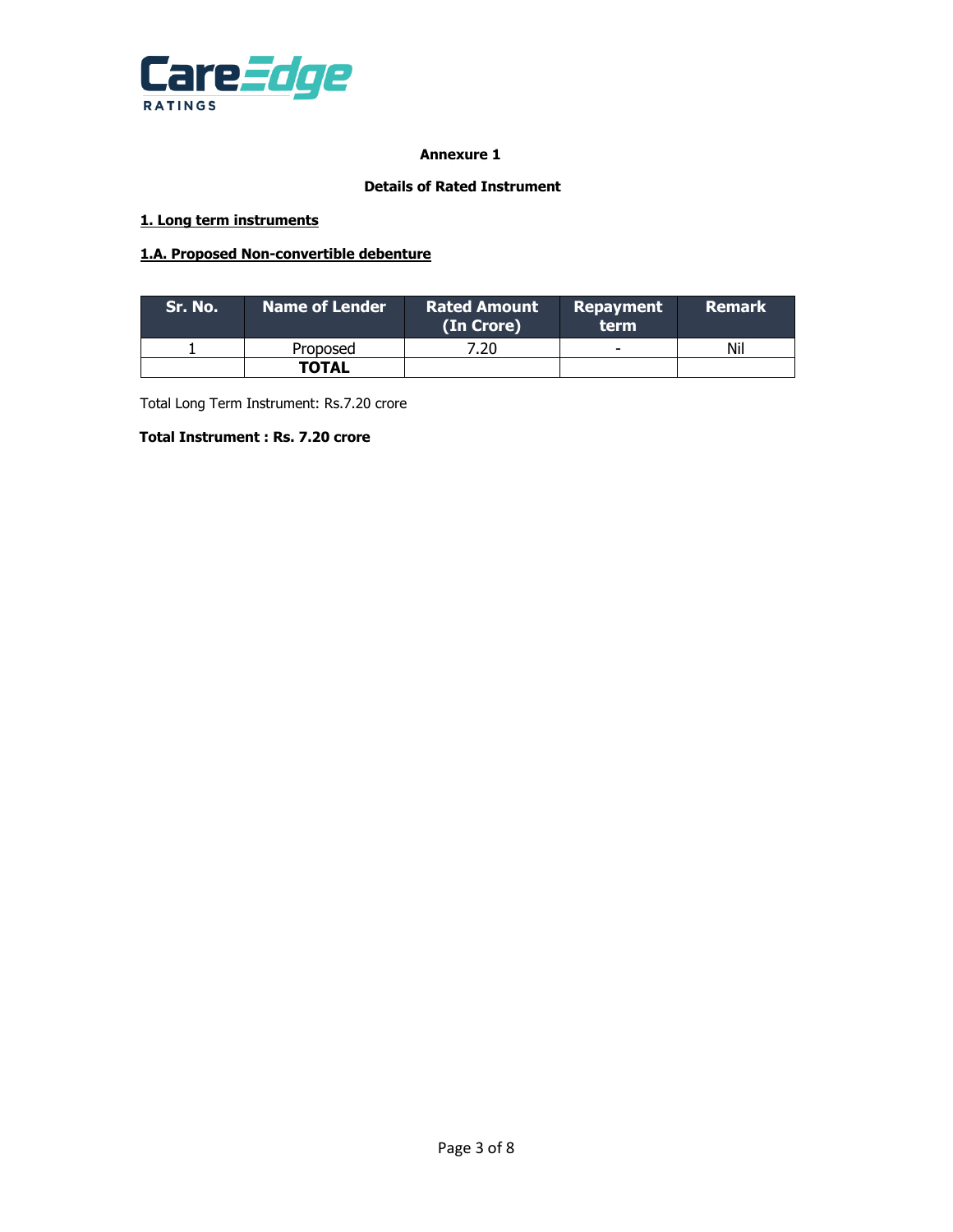

# **Annexure 1**

## **Details of Rated Instrument**

# **1. Long term instruments**

# **1.A. Proposed Non-convertible debenture**

| .Sr. No.' | Name of Lender ' | <b>Rated Amount</b><br>(In Crore) | Repayment<br>term        | <b>Remark</b> |
|-----------|------------------|-----------------------------------|--------------------------|---------------|
|           | Proposed         | 7.20.                             | $\overline{\phantom{0}}$ | Nil           |
|           | <b>TOTAL</b>     |                                   |                          |               |

Total Long Term Instrument: Rs.7.20 crore

# **Total Instrument : Rs. 7.20 crore**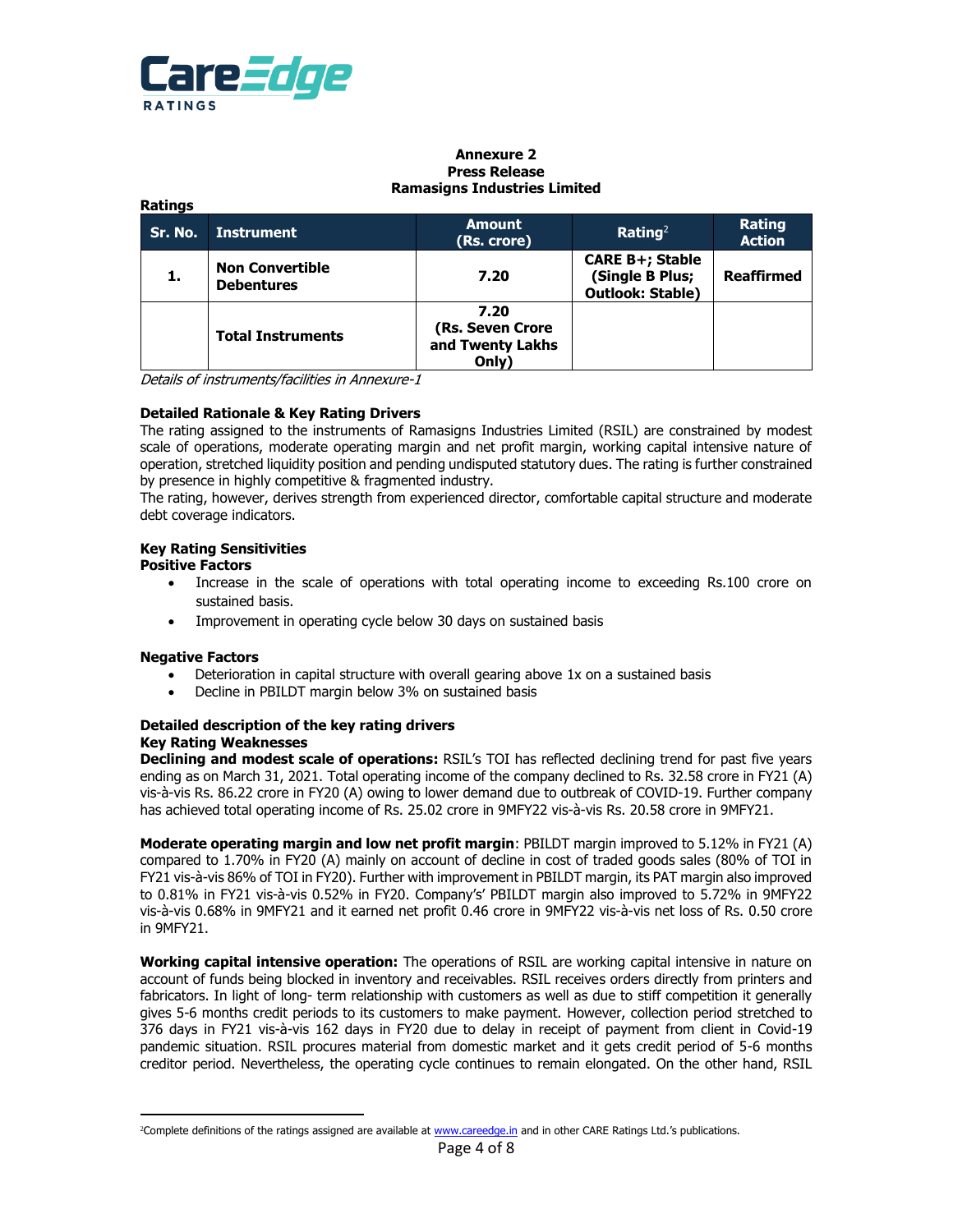

**Ratings**

#### **Annexure 2 Press Release Ramasigns Industries Limited**

|                                             | .                        |                                                       |                                                                      |                         |  |  |  |  |  |
|---------------------------------------------|--------------------------|-------------------------------------------------------|----------------------------------------------------------------------|-------------------------|--|--|--|--|--|
| Sr. No.                                     | <b>Instrument</b>        | <b>Amount</b><br>(Rs. crore)                          |                                                                      | Rating<br><b>Action</b> |  |  |  |  |  |
| <b>Non Convertible</b><br><b>Debentures</b> |                          | 7.20                                                  | <b>CARE B+; Stable</b><br>(Single B Plus;<br><b>Outlook: Stable)</b> | <b>Reaffirmed</b>       |  |  |  |  |  |
|                                             | <b>Total Instruments</b> | 7.20<br>(Rs. Seven Crore<br>and Twenty Lakhs<br>Only) |                                                                      |                         |  |  |  |  |  |

Details of instruments/facilities in Annexure-1

#### **Detailed Rationale & Key Rating Drivers**

The rating assigned to the instruments of Ramasigns Industries Limited (RSIL) are constrained by modest scale of operations, moderate operating margin and net profit margin, working capital intensive nature of operation, stretched liquidity position and pending undisputed statutory dues. The rating is further constrained by presence in highly competitive & fragmented industry.

The rating, however, derives strength from experienced director, comfortable capital structure and moderate debt coverage indicators.

#### **Key Rating Sensitivities**

#### **Positive Factors**

- Increase in the scale of operations with total operating income to exceeding Rs.100 crore on sustained basis.
- Improvement in operating cycle below 30 days on sustained basis

#### **Negative Factors**

- Deterioration in capital structure with overall gearing above 1x on a sustained basis
- Decline in PBILDT margin below 3% on sustained basis

#### **Detailed description of the key rating drivers Key Rating Weaknesses**

**Declining and modest scale of operations:** RSIL's TOI has reflected declining trend for past five years ending as on March 31, 2021. Total operating income of the company declined to Rs. 32.58 crore in FY21 (A) vis-à-vis Rs. 86.22 crore in FY20 (A) owing to lower demand due to outbreak of COVID-19. Further company has achieved total operating income of Rs. 25.02 crore in 9MFY22 vis-à-vis Rs. 20.58 crore in 9MFY21.

**Moderate operating margin and low net profit margin**: PBILDT margin improved to 5.12% in FY21 (A) compared to 1.70% in FY20 (A) mainly on account of decline in cost of traded goods sales (80% of TOI in FY21 vis-à-vis 86% of TOI in FY20). Further with improvement in PBILDT margin, its PAT margin also improved to 0.81% in FY21 vis-à-vis 0.52% in FY20. Company's' PBILDT margin also improved to 5.72% in 9MFY22 vis-à-vis 0.68% in 9MFY21 and it earned net profit 0.46 crore in 9MFY22 vis-à-vis net loss of Rs. 0.50 crore in 9MFY21.

**Working capital intensive operation:** The operations of RSIL are working capital intensive in nature on account of funds being blocked in inventory and receivables. RSIL receives orders directly from printers and fabricators. In light of long- term relationship with customers as well as due to stiff competition it generally gives 5-6 months credit periods to its customers to make payment. However, collection period stretched to 376 days in FY21 vis-à-vis 162 days in FY20 due to delay in receipt of payment from client in Covid-19 pandemic situation. RSIL procures material from domestic market and it gets credit period of 5-6 months creditor period. Nevertheless, the operating cycle continues to remain elongated. On the other hand, RSIL

<sup>&</sup>lt;sup>2</sup>Complete definitions of the ratings assigned are available at [www.careedge.in](http://www.careedge.in/) and in other CARE Ratings Ltd.'s publications.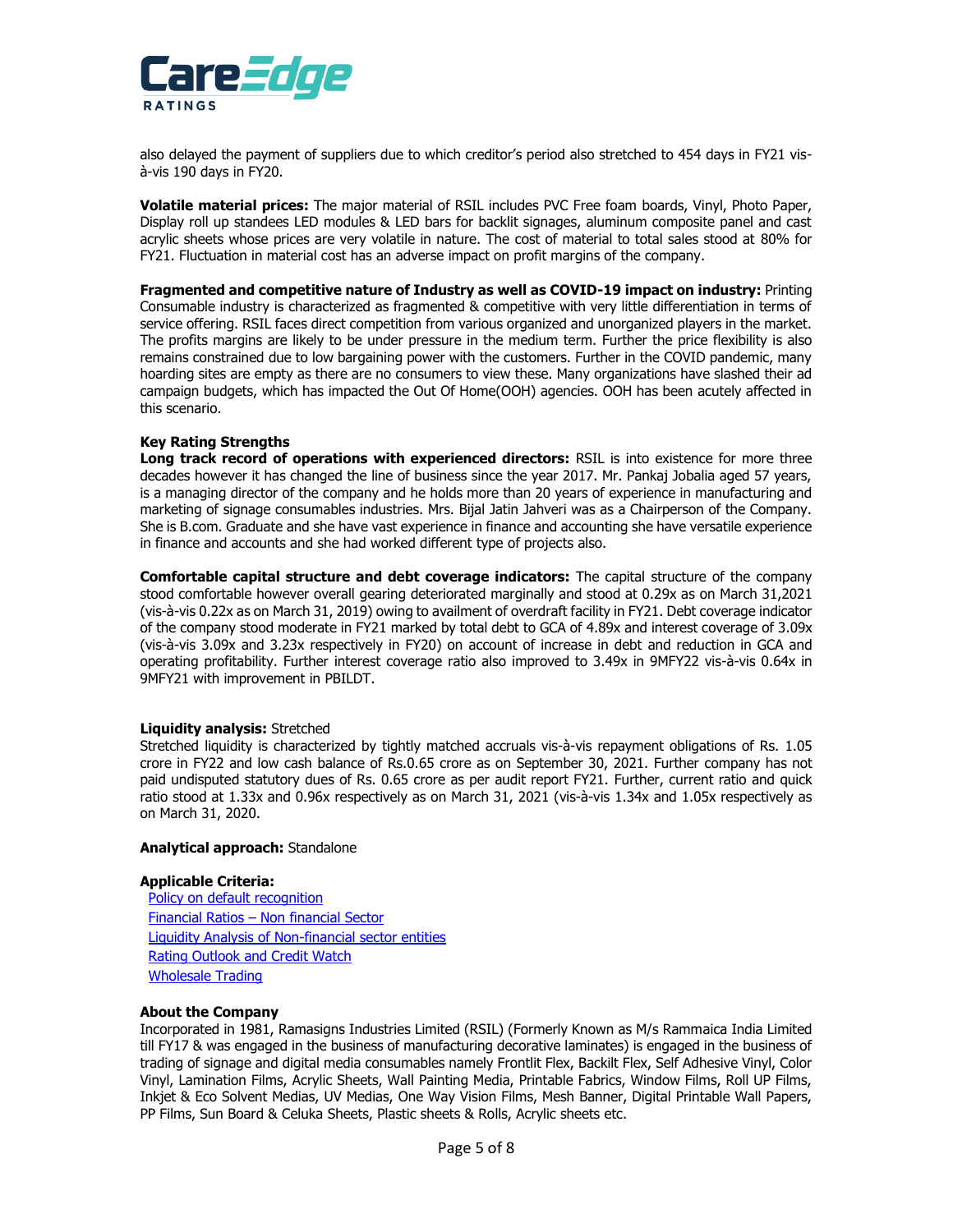

also delayed the payment of suppliers due to which creditor's period also stretched to 454 days in FY21 visà-vis 190 days in FY20.

**Volatile material prices:** The major material of RSIL includes PVC Free foam boards, Vinyl, Photo Paper, Display roll up standees LED modules & LED bars for backlit signages, aluminum composite panel and cast acrylic sheets whose prices are very volatile in nature. The cost of material to total sales stood at 80% for FY21. Fluctuation in material cost has an adverse impact on profit margins of the company.

**Fragmented and competitive nature of Industry as well as COVID-19 impact on industry:** Printing Consumable industry is characterized as fragmented & competitive with very little differentiation in terms of service offering. RSIL faces direct competition from various organized and unorganized players in the market. The profits margins are likely to be under pressure in the medium term. Further the price flexibility is also remains constrained due to low bargaining power with the customers. Further in the COVID pandemic, many hoarding sites are empty as there are no consumers to view these. Many organizations have slashed their ad campaign budgets, which has impacted the Out Of Home(OOH) agencies. OOH has been acutely affected in this scenario.

#### **Key Rating Strengths**

**Long track record of operations with experienced directors:** RSIL is into existence for more three decades however it has changed the line of business since the year 2017. Mr. Pankaj Jobalia aged 57 years, is a managing director of the company and he holds more than 20 years of experience in manufacturing and marketing of signage consumables industries. Mrs. Bijal Jatin Jahveri was as a Chairperson of the Company. She is B.com. Graduate and she have vast experience in finance and accounting she have versatile experience in finance and accounts and she had worked different type of projects also.

**Comfortable capital structure and debt coverage indicators:** The capital structure of the company stood comfortable however overall gearing deteriorated marginally and stood at 0.29x as on March 31,2021 (vis-à-vis 0.22x as on March 31, 2019) owing to availment of overdraft facility in FY21. Debt coverage indicator of the company stood moderate in FY21 marked by total debt to GCA of 4.89x and interest coverage of 3.09x (vis-à-vis 3.09x and 3.23x respectively in FY20) on account of increase in debt and reduction in GCA and operating profitability. Further interest coverage ratio also improved to 3.49x in 9MFY22 vis-à-vis 0.64x in 9MFY21 with improvement in PBILDT.

#### **Liquidity analysis:** Stretched

Stretched liquidity is characterized by tightly matched accruals vis-à-vis repayment obligations of Rs. 1.05 crore in FY22 and low cash balance of Rs.0.65 crore as on September 30, 2021. Further company has not paid undisputed statutory dues of Rs. 0.65 crore as per audit report FY21. Further, current ratio and quick ratio stood at 1.33x and 0.96x respectively as on March 31, 2021 (vis-à-vis 1.34x and 1.05x respectively as on March 31, 2020.

#### **Analytical approach:** Standalone

#### **Applicable Criteria:**

[Policy on default recognition](https://www.careratings.com/pdf/resources/CARE) Financial Ratios – [Non financial Sector](https://www.careratings.com/pdf/resources/Financial%20ratios%20-%20Non%20Financial%20Sector_March2021.pdf) [Liquidity Analysis of Non-financial sector entities](https://www.careratings.com/pdf/resources/Liquidity%20Analysis%20of%20Non%20-%20Financial%20Sector%20entities_May2020.pdf) [Rating Outlook and Credit Watch](https://www.careratings.com/pdf/resources/Rating%20Outlook%20and%20credit%20watch_May2020.pdf) [Wholesale Trading](https://www.careratings.com/upload/NewsFiles/GetRated/Rating%20methodology-Wholesale%20Trading_January2021.pdf)

#### **About the Company**

Incorporated in 1981, Ramasigns Industries Limited (RSIL) (Formerly Known as M/s Rammaica India Limited till FY17 & was engaged in the business of manufacturing decorative laminates) is engaged in the business of trading of signage and digital media consumables namely Frontlit Flex, Backilt Flex, Self Adhesive Vinyl, Color Vinyl, Lamination Films, Acrylic Sheets, Wall Painting Media, Printable Fabrics, Window Films, Roll UP Films, Inkjet & Eco Solvent Medias, UV Medias, One Way Vision Films, Mesh Banner, Digital Printable Wall Papers, PP Films, Sun Board & Celuka Sheets, Plastic sheets & Rolls, Acrylic sheets etc.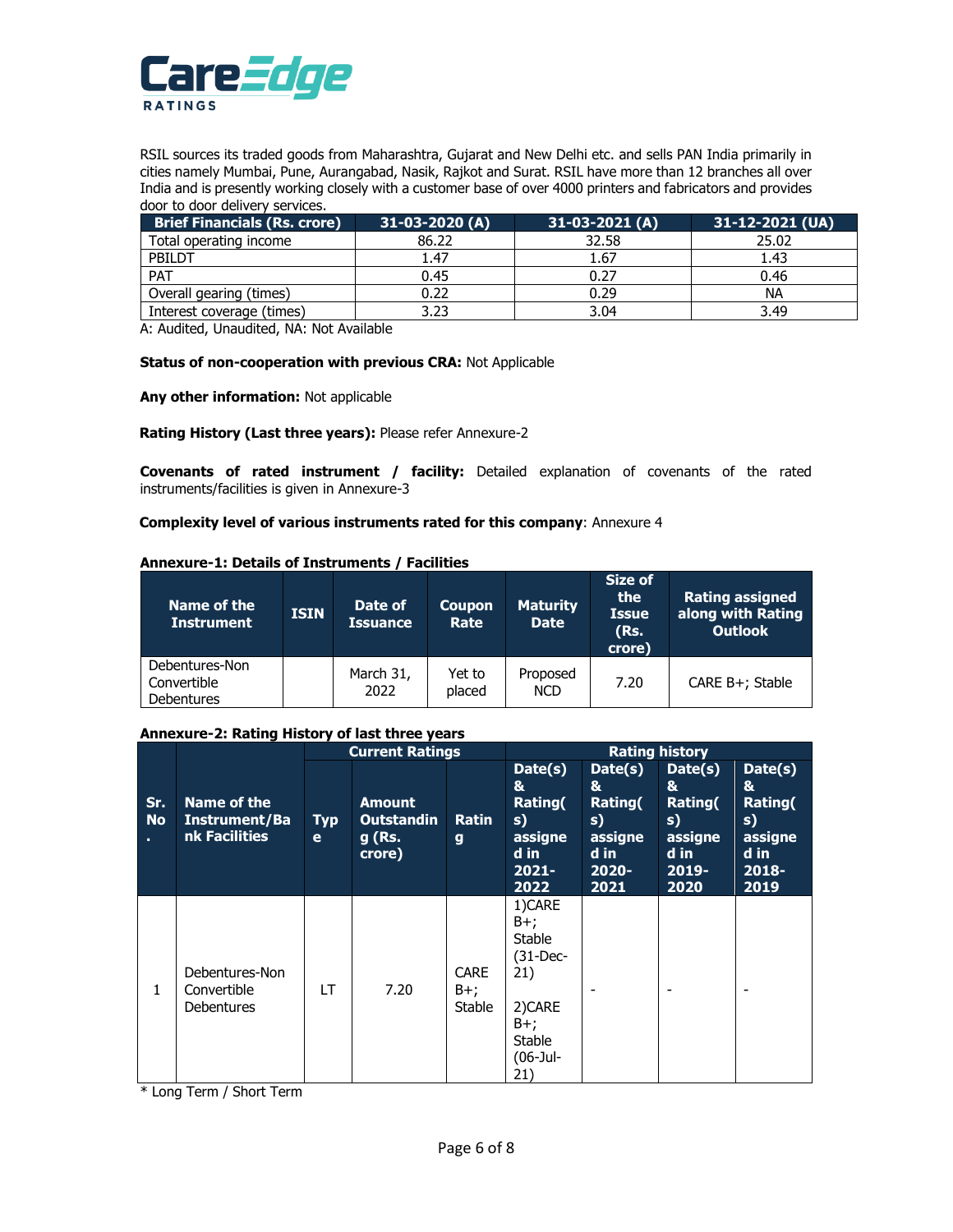

RSIL sources its traded goods from Maharashtra, Gujarat and New Delhi etc. and sells PAN India primarily in cities namely Mumbai, Pune, Aurangabad, Nasik, Rajkot and Surat. RSIL have more than 12 branches all over India and is presently working closely with a customer base of over 4000 printers and fabricators and provides door to door delivery services.

| <b>Brief Financials (Rs. crore)</b> | $31-03-2020(A)$ | $31-03-2021(A)$ | 31-12-2021 (UA) |
|-------------------------------------|-----------------|-----------------|-----------------|
| Total operating income              | 86.22           | 32.58           | 25.02           |
| PBILDT                              | 1.47            | 1.67            | 1.43            |
| PAT                                 | 0.45            | 0.27            | 0.46            |
| Overall gearing (times)             | 0.22            | 0.29            | ΝA              |
| Interest coverage (times)           | 3.23            | 3.04            | 3.49            |

A: Audited, Unaudited, NA: Not Available

#### **Status of non-cooperation with previous CRA:** Not Applicable

**Any other information:** Not applicable

#### **Rating History (Last three years):** Please refer Annexure-2

**Covenants of rated instrument / facility:** Detailed explanation of covenants of the rated instruments/facilities is given in Annexure-3

**Complexity level of various instruments rated for this company**: Annexure 4

#### **Annexure-1: Details of Instruments / Facilities**

| Name of the<br><b>Instrument</b>                   | <b>ISIN</b> | Date of<br><b>Issuance</b> | Coupon<br>Rate   | <b>Maturity</b><br><b>Date</b> | Size of<br>the<br><b>Issue</b><br>(Rs.<br>crore) | <b>Rating assigned</b><br>along with Rating<br><b>Outlook</b> |
|----------------------------------------------------|-------------|----------------------------|------------------|--------------------------------|--------------------------------------------------|---------------------------------------------------------------|
| Debentures-Non<br>Convertible<br><b>Debentures</b> |             | March 31,<br>2022          | Yet to<br>placed | Proposed<br><b>NCD</b>         | 7.20                                             | CARE B+; Stable                                               |

#### **Annexure-2: Rating History of last three years**

|                                                                         |                                                    | <b>Current Ratings</b>                                 |                              |                                                                      | <b>Rating history</b>                                                                                          |                                                                      |                                                                      |  |
|-------------------------------------------------------------------------|----------------------------------------------------|--------------------------------------------------------|------------------------------|----------------------------------------------------------------------|----------------------------------------------------------------------------------------------------------------|----------------------------------------------------------------------|----------------------------------------------------------------------|--|
| Sr.<br>Name of the<br><b>No</b><br>Instrument/Ba<br>nk Facilities<br>Т. | <b>Typ</b><br>е                                    | <b>Amount</b><br><b>Outstandin</b><br>g (Rs.<br>crore) | <b>Ratin</b><br>$\mathbf{g}$ | Date(s)<br>&<br>Rating(<br>s)<br>assigne<br>d in<br>$2021 -$<br>2022 | Date(s)<br>&<br>Rating(<br>s)<br>assigne<br>d in<br>$2020 -$<br>2021                                           | Date(s)<br>&<br>Rating(<br>s)<br>assigne<br>d in<br>$2019 -$<br>2020 | Date(s)<br>&<br>Rating(<br>s)<br>assigne<br>d in<br>$2018 -$<br>2019 |  |
| 1                                                                       | Debentures-Non<br>Convertible<br><b>Debentures</b> | LT                                                     | 7.20                         | <b>CARE</b><br>$B+;$<br>Stable                                       | 1)CARE<br>$B+;$<br><b>Stable</b><br>$(31-Dec-$<br>21)<br>2)CARE<br>$B+;$<br><b>Stable</b><br>$(06-Jul-$<br>21) |                                                                      |                                                                      |  |

\* Long Term / Short Term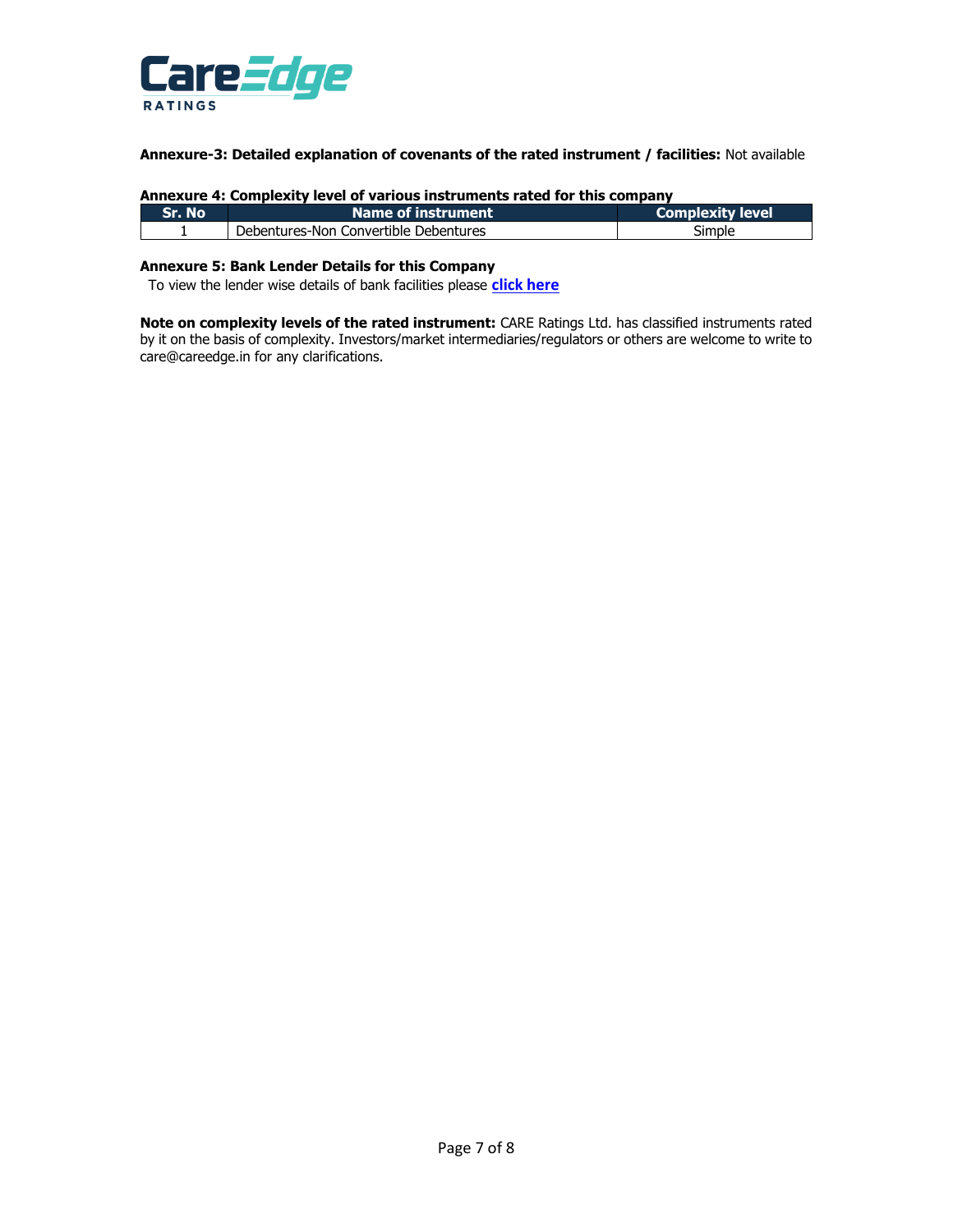

**Annexure-3: Detailed explanation of covenants of the rated instrument / facilities:** Not available

| Annexure 4: Complexity level of various instruments rated for this company |                                               |        |  |  |  |  |  |
|----------------------------------------------------------------------------|-----------------------------------------------|--------|--|--|--|--|--|
| Sr. No                                                                     | Name of instrument<br><b>Complexity level</b> |        |  |  |  |  |  |
|                                                                            | Debentures-Non Convertible Debentures         | Simple |  |  |  |  |  |

# **Annexure 4: Complexity level of various instruments rated for this company**

#### **Annexure 5: Bank Lender Details for this Company**

To view the lender wise details of bank facilities please **[click here](https://www.careratings.com/Bankdetails.aspx?Id=BAo+spH65d2e5FaUIwCcRw==)**

**Note on complexity levels of the rated instrument:** CARE Ratings Ltd. has classified instruments rated by it on the basis of complexity. Investors/market intermediaries/regulators or others are welcome to write to care@careedge.in for any clarifications.